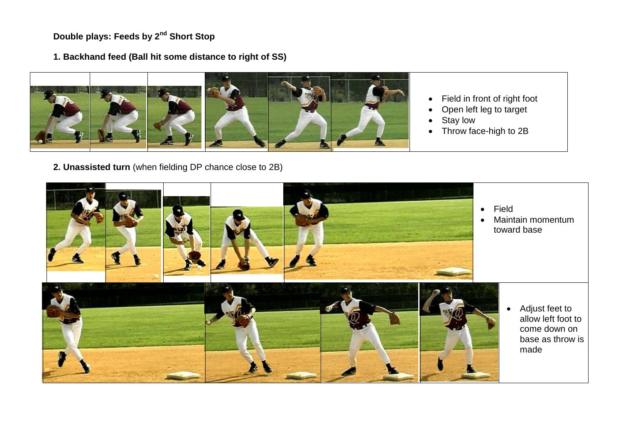**Double plays: Feeds by 2nd Short Stop**

**1. Backhand feed (Ball hit some distance to right of SS)**



- Field in front of right foot
- Open left leg to target
- Stay low
- Throw face-high to 2B



**2. Unassisted turn** (when fielding DP chance close to 2B)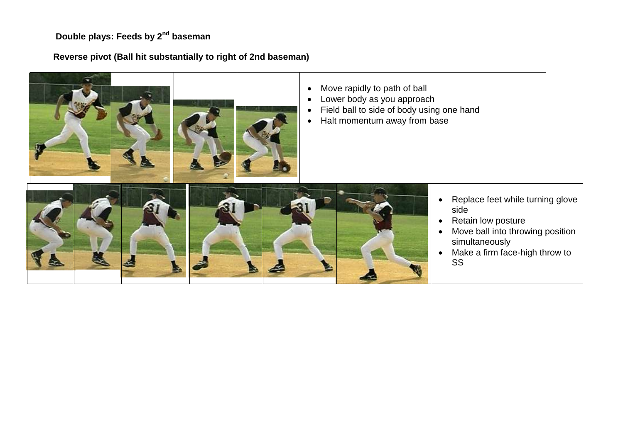# **Double plays: Feeds by 2nd baseman**

## **Reverse pivot (Ball hit substantially to right of 2nd baseman)**

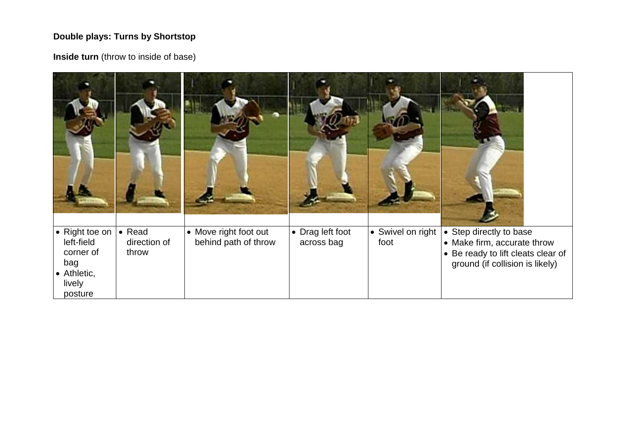### **Double plays: Turns by Shortstop**

**Inside turn** (throw to inside of base)

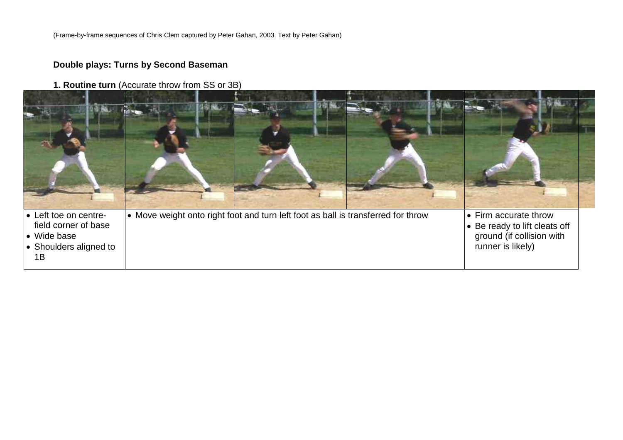(Frame-by-frame sequences of Chris Clem captured by Peter Gahan, 2003. Text by Peter Gahan)

## **Double plays: Turns by Second Baseman**

**1. Routine turn** (Accurate throw from SS or 3B)

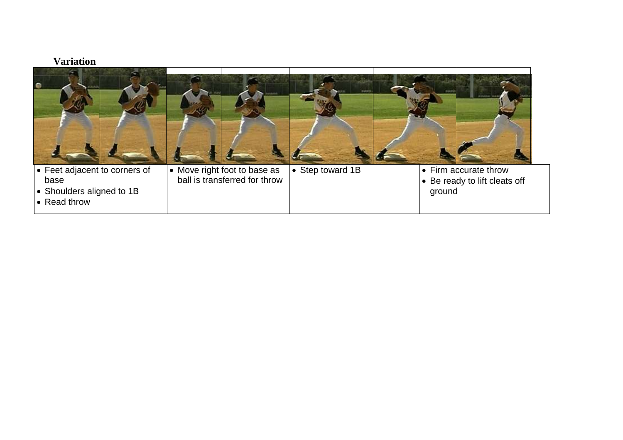#### **Variation**

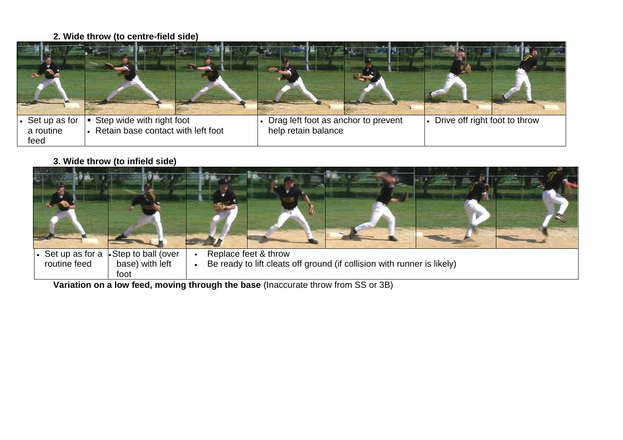## **2. Wide throw (to centre-field side)**

| Set up as for<br>a routine<br>feed | Step wide with right foot<br>Retain base contact with left foot | Drag left foot as anchor to prevent<br>help retain balance | Drive off right foot to throw |
|------------------------------------|-----------------------------------------------------------------|------------------------------------------------------------|-------------------------------|

**3. Wide throw (to infield side)**



**Variation on a low feed, moving through the base** (Inaccurate throw from SS or 3B)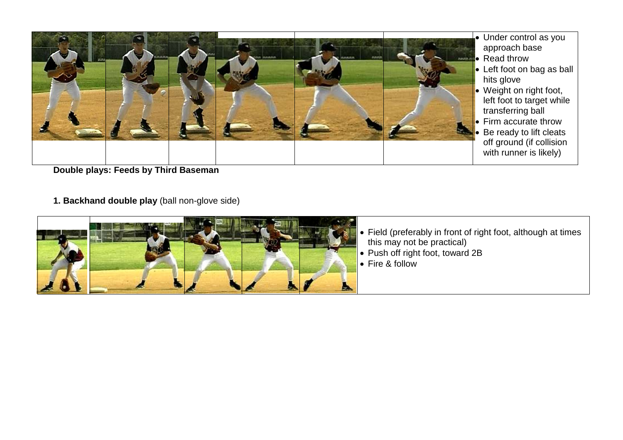

**Double plays: Feeds by Third Baseman**

**1. Backhand double play** (ball non-glove side)